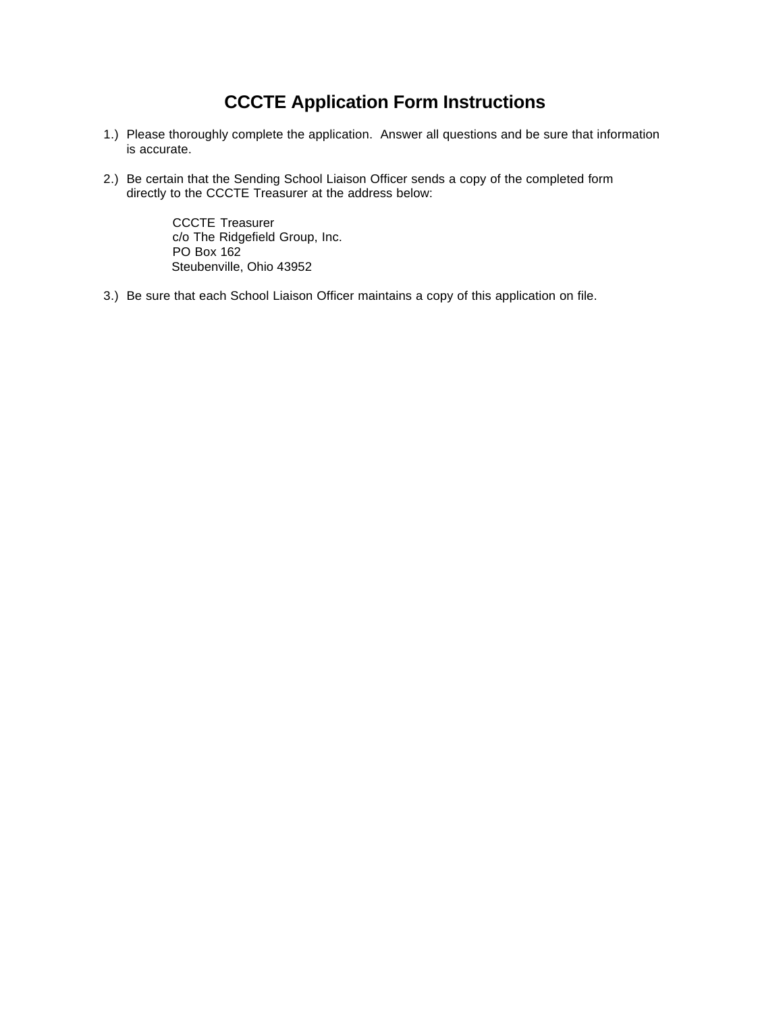## **CCCTE Application Form Instructions**

- 1.) Please thoroughly complete the application. Answer all questions and be sure that information is accurate.
- 2.) Be certain that the Sending School Liaison Officer sends a copy of the completed form directly to the CCCTE Treasurer at the address below:

CCCTE Treasurer c/o The Ridgefield Group, Inc. PO Box 162 Steubenville, Ohio 43952

3.) Be sure that each School Liaison Officer maintains a copy of this application on file.